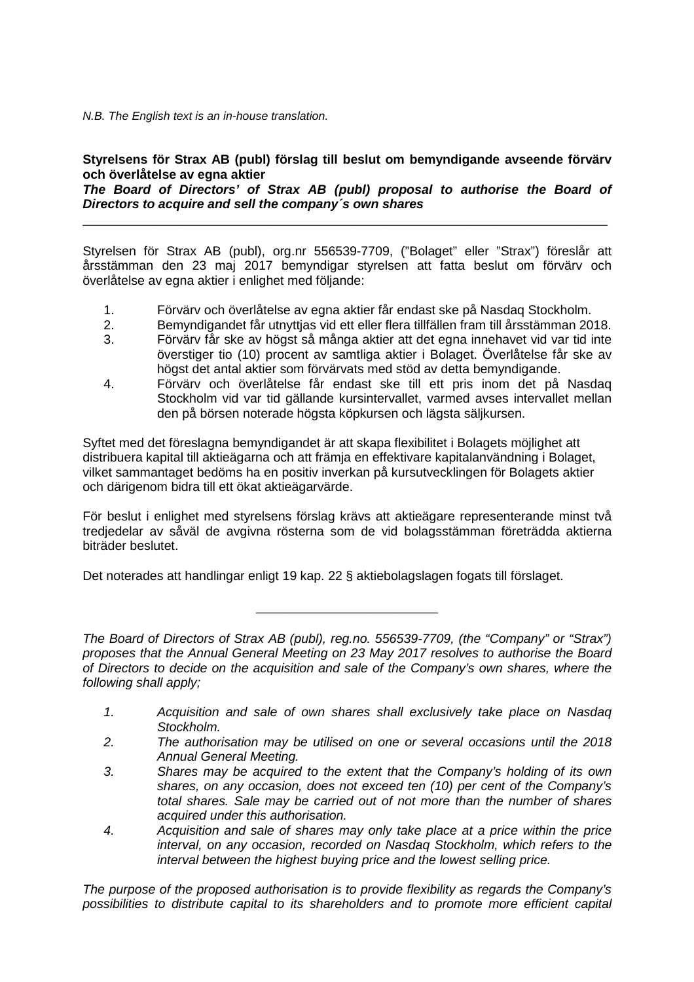N.B. The English text is an in-house translation.

## **Styrelsens för Strax AB (publ) förslag till beslut om bemyndigande avseende förvärv och överlåtelse av egna aktier**

**The Board of Directors' of Strax AB (publ) proposal to authorise the Board of Directors to acquire and sell the company´s own shares** 

\_\_\_\_\_\_\_\_\_\_\_\_\_\_\_\_\_\_\_\_\_\_\_\_\_\_\_\_\_\_\_\_\_\_\_\_\_\_\_\_\_\_\_\_\_\_\_\_\_\_\_\_\_\_\_\_\_\_\_\_\_\_\_\_\_\_\_\_\_\_\_\_\_\_\_

Styrelsen för Strax AB (publ), org.nr 556539-7709, ("Bolaget" eller "Strax") föreslår att årsstämman den 23 maj 2017 bemyndigar styrelsen att fatta beslut om förvärv och överlåtelse av egna aktier i enlighet med följande:

- 1. Förvärv och överlåtelse av egna aktier får endast ske på Nasdaq Stockholm.
- 2. Bemyndigandet får utnyttjas vid ett eller flera tillfällen fram till årsstämman 2018.
- 3. Förvärv får ske av högst så många aktier att det egna innehavet vid var tid inte överstiger tio (10) procent av samtliga aktier i Bolaget. Överlåtelse får ske av högst det antal aktier som förvärvats med stöd av detta bemyndigande.
- 4. Förvärv och överlåtelse får endast ske till ett pris inom det på Nasdaq Stockholm vid var tid gällande kursintervallet, varmed avses intervallet mellan den på börsen noterade högsta köpkursen och lägsta säljkursen.

Syftet med det föreslagna bemyndigandet är att skapa flexibilitet i Bolagets möjlighet att distribuera kapital till aktieägarna och att främja en effektivare kapitalanvändning i Bolaget, vilket sammantaget bedöms ha en positiv inverkan på kursutvecklingen för Bolagets aktier och därigenom bidra till ett ökat aktieägarvärde.

För beslut i enlighet med styrelsens förslag krävs att aktieägare representerande minst två tredjedelar av såväl de avgivna rösterna som de vid bolagsstämman företrädda aktierna biträder beslutet.

Det noterades att handlingar enligt 19 kap. 22 § aktiebolagslagen fogats till förslaget.

The Board of Directors of Strax AB (publ), reg.no. 556539-7709, (the "Company" or "Strax") proposes that the Annual General Meeting on 23 May 2017 resolves to authorise the Board of Directors to decide on the acquisition and sale of the Company's own shares, where the following shall apply;

\_\_\_\_\_\_\_\_\_\_\_\_\_\_\_\_\_\_\_\_\_\_\_\_\_\_

- 1. Acquisition and sale of own shares shall exclusively take place on Nasdaq Stockholm.
- 2. The authorisation may be utilised on one or several occasions until the 2018 Annual General Meeting.
- 3. Shares may be acquired to the extent that the Company's holding of its own shares, on any occasion, does not exceed ten (10) per cent of the Company's total shares. Sale may be carried out of not more than the number of shares acquired under this authorisation.
- 4. Acquisition and sale of shares may only take place at a price within the price interval, on any occasion, recorded on Nasdaq Stockholm, which refers to the interval between the highest buying price and the lowest selling price.

The purpose of the proposed authorisation is to provide flexibility as regards the Company's possibilities to distribute capital to its shareholders and to promote more efficient capital